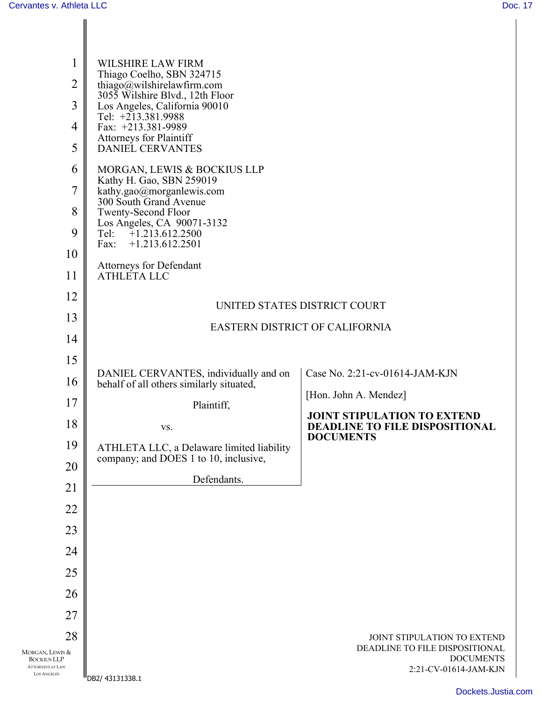| $\mathbf{1}$<br>$\overline{2}$                | WILSHIRE LAW FIRM<br>Thiago Coelho, SBN 324715<br>thiago@wilshirelawfirm.com       |                                                    |  |  |
|-----------------------------------------------|------------------------------------------------------------------------------------|----------------------------------------------------|--|--|
| 3                                             | 3055 Wilshire Blvd., 12th Floor<br>Los Angeles, California 90010                   |                                                    |  |  |
| $\overline{4}$                                | Tel: $+213.381.9988$<br>Fax: +213.381-9989                                         |                                                    |  |  |
| 5                                             | <b>Attorneys for Plaintiff</b><br><b>DANIEL CERVANTES</b>                          |                                                    |  |  |
| 6                                             | MORGAN, LEWIS & BOCKIUS LLP                                                        |                                                    |  |  |
| 7                                             | Kathy H. Gao, SBN 259019<br>kathy.gao@morganlewis.com                              |                                                    |  |  |
| 8                                             | 300 South Grand Avenue<br>Twenty-Second Floor                                      |                                                    |  |  |
| 9                                             | Los Angeles, CA 90071-3132<br>$+1.213.612.2500$<br>Tel:                            |                                                    |  |  |
| 10                                            | Fax:<br>$+1.213.612.2501$                                                          |                                                    |  |  |
| 11                                            | Attorneys for Defendant<br>ATHLETA LLC                                             |                                                    |  |  |
| 12                                            | UNITED STATES DISTRICT COURT                                                       |                                                    |  |  |
| 13                                            | EASTERN DISTRICT OF CALIFORNIA                                                     |                                                    |  |  |
| 14                                            |                                                                                    |                                                    |  |  |
| 15                                            | DANIEL CERVANTES, individually and on                                              | Case No. 2:21-cv-01614-JAM-KJN                     |  |  |
| 16                                            | behalf of all others similarly situated,                                           | [Hon. John A. Mendez]                              |  |  |
| 17                                            | Plaintiff,                                                                         | <b>JOINT STIPULATION TO EXTEND</b>                 |  |  |
| 18                                            | VS.                                                                                | DEADLINE TO FILE DISPOSITIONAL<br><b>DOCUMENTS</b> |  |  |
| 19                                            | ATHLETA LLC, a Delaware limited liability<br>company; and DOES 1 to 10, inclusive, |                                                    |  |  |
| 20                                            | Defendants.                                                                        |                                                    |  |  |
| 21                                            |                                                                                    |                                                    |  |  |
| 22                                            |                                                                                    |                                                    |  |  |
| 23<br>24                                      |                                                                                    |                                                    |  |  |
| 25                                            |                                                                                    |                                                    |  |  |
| 26                                            |                                                                                    |                                                    |  |  |
| 27                                            |                                                                                    |                                                    |  |  |
| 28                                            |                                                                                    | JOINT STIPULATION TO EXTEND                        |  |  |
| MORGAN, LEWIS &<br><b>BOCKIUS LLP</b>         |                                                                                    | DEADLINE TO FILE DISPOSITIONAL<br><b>DOCUMENTS</b> |  |  |
| <b>ATTORNEYS AT LAW</b><br><b>LOS ANGELES</b> | DB2/43131338.1                                                                     | 2:21-CV-01614-JAM-KJN                              |  |  |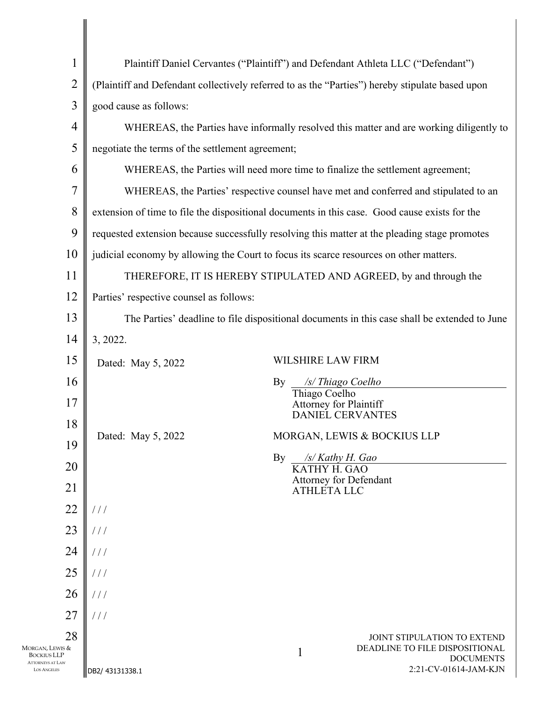| $\mathbf{1}$                                                        | Plaintiff Daniel Cervantes ("Plaintiff") and Defendant Athleta LLC ("Defendant")                |                               |                                                               |
|---------------------------------------------------------------------|-------------------------------------------------------------------------------------------------|-------------------------------|---------------------------------------------------------------|
| $\overline{2}$                                                      | (Plaintiff and Defendant collectively referred to as the "Parties") hereby stipulate based upon |                               |                                                               |
| 3                                                                   | good cause as follows:                                                                          |                               |                                                               |
| 4                                                                   | WHEREAS, the Parties have informally resolved this matter and are working diligently to         |                               |                                                               |
| 5                                                                   | negotiate the terms of the settlement agreement;                                                |                               |                                                               |
| 6                                                                   | WHEREAS, the Parties will need more time to finalize the settlement agreement;                  |                               |                                                               |
| 7                                                                   | WHEREAS, the Parties' respective counsel have met and conferred and stipulated to an            |                               |                                                               |
| 8                                                                   | extension of time to file the dispositional documents in this case. Good cause exists for the   |                               |                                                               |
| 9                                                                   | requested extension because successfully resolving this matter at the pleading stage promotes   |                               |                                                               |
| 10                                                                  | judicial economy by allowing the Court to focus its scarce resources on other matters.          |                               |                                                               |
| 11                                                                  | THEREFORE, IT IS HEREBY STIPULATED AND AGREED, by and through the                               |                               |                                                               |
| 12                                                                  | Parties' respective counsel as follows:                                                         |                               |                                                               |
| 13                                                                  | The Parties' deadline to file dispositional documents in this case shall be extended to June    |                               |                                                               |
| 14                                                                  | 3, 2022.                                                                                        |                               |                                                               |
| 15                                                                  | Dated: May 5, 2022                                                                              | WILSHIRE LAW FIRM             |                                                               |
| 16                                                                  | By                                                                                              | Thiago Coelho                 | /s/Thiago Coelho                                              |
| 17                                                                  |                                                                                                 | <b>Attorney for Plaintiff</b> | <b>DANIEL CERVANTES</b>                                       |
| 18                                                                  | Dated: May 5, 2022                                                                              |                               | MORGAN, LEWIS & BOCKIUS LLP                                   |
| 19                                                                  | By                                                                                              | $\sqrt{s}$ Kathy H. Gao       |                                                               |
| 20                                                                  |                                                                                                 | KATHY H. GAO                  |                                                               |
| 21                                                                  |                                                                                                 | <b>ATHLETA LLC</b>            | <b>Attorney for Defendant</b>                                 |
| 22                                                                  | 111                                                                                             |                               |                                                               |
| 23                                                                  | $\frac{1}{2}$                                                                                   |                               |                                                               |
| 24                                                                  | $\frac{1}{2}$                                                                                   |                               |                                                               |
| 25                                                                  | $\frac{1}{2}$                                                                                   |                               |                                                               |
| 26                                                                  | $\frac{1}{2}$                                                                                   |                               |                                                               |
| 27                                                                  | $\frac{1}{2}$                                                                                   |                               |                                                               |
| 28<br>Morgan, Lewis &                                               |                                                                                                 | 1                             | JOINT STIPULATION TO EXTEND<br>DEADLINE TO FILE DISPOSITIONAL |
| <b>BOCKIUS LLP</b><br><b>ATTORNEYS AT LAW</b><br><b>LOS ANGELES</b> | DB2/43131338.1                                                                                  |                               | <b>DOCUMENTS</b><br>2:21-CV-01614-JAM-KJN                     |